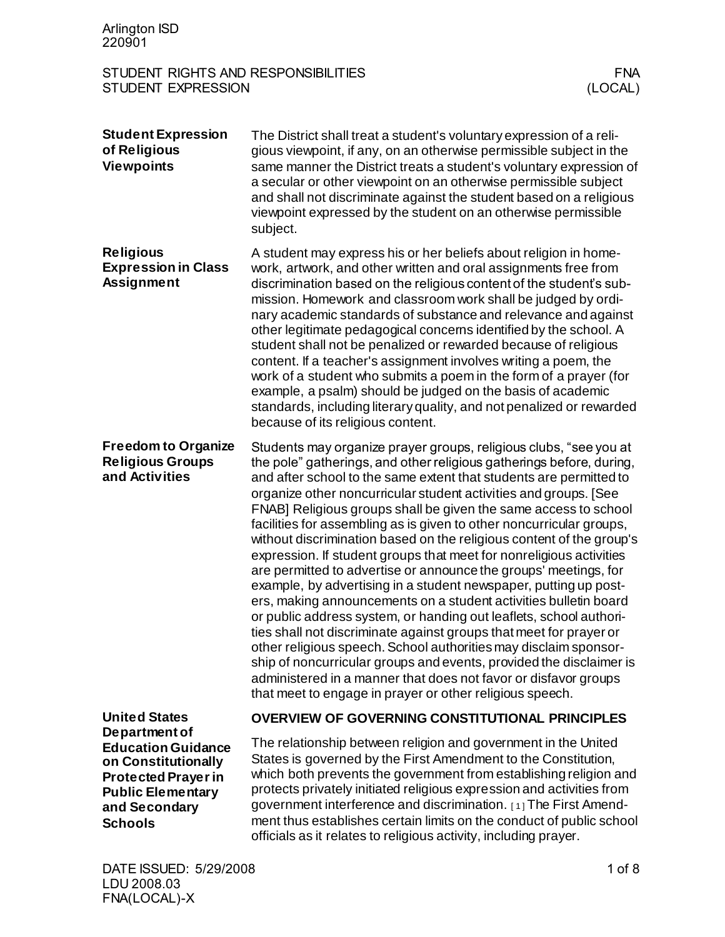| Arlington ISD<br>220901                                                                                                                                                                |                                                                                                                                                                                                                                                                                                                                                                                                                                                                                                                                                                                                                                                                                                                                                                                                                                                                                                                                                                                                                                                                                                                                                                                                                 |  |
|----------------------------------------------------------------------------------------------------------------------------------------------------------------------------------------|-----------------------------------------------------------------------------------------------------------------------------------------------------------------------------------------------------------------------------------------------------------------------------------------------------------------------------------------------------------------------------------------------------------------------------------------------------------------------------------------------------------------------------------------------------------------------------------------------------------------------------------------------------------------------------------------------------------------------------------------------------------------------------------------------------------------------------------------------------------------------------------------------------------------------------------------------------------------------------------------------------------------------------------------------------------------------------------------------------------------------------------------------------------------------------------------------------------------|--|
| STUDENT RIGHTS AND RESPONSIBILITIES<br><b>FNA</b><br>STUDENT EXPRESSION<br>(LOCAL)                                                                                                     |                                                                                                                                                                                                                                                                                                                                                                                                                                                                                                                                                                                                                                                                                                                                                                                                                                                                                                                                                                                                                                                                                                                                                                                                                 |  |
| <b>Student Expression</b><br>of Religious<br><b>Viewpoints</b>                                                                                                                         | The District shall treat a student's voluntary expression of a reli-<br>gious viewpoint, if any, on an otherwise permissible subject in the<br>same manner the District treats a student's voluntary expression of<br>a secular or other viewpoint on an otherwise permissible subject<br>and shall not discriminate against the student based on a religious<br>viewpoint expressed by the student on an otherwise permissible<br>subject.                                                                                                                                                                                                                                                                                                                                                                                                                                                                                                                                                                                                                                                                                                                                                                     |  |
| <b>Religious</b><br><b>Expression in Class</b><br>Assignment                                                                                                                           | A student may express his or her beliefs about religion in home-<br>work, artwork, and other written and oral assignments free from<br>discrimination based on the religious content of the student's sub-<br>mission. Homework and classroom work shall be judged by ordi-<br>nary academic standards of substance and relevance and against<br>other legitimate pedagogical concerns identified by the school. A<br>student shall not be penalized or rewarded because of religious<br>content. If a teacher's assignment involves writing a poem, the<br>work of a student who submits a poem in the form of a prayer (for<br>example, a psalm) should be judged on the basis of academic<br>standards, including literary quality, and not penalized or rewarded<br>because of its religious content.                                                                                                                                                                                                                                                                                                                                                                                                       |  |
| <b>Freedom to Organize</b><br><b>Religious Groups</b><br>and Activities                                                                                                                | Students may organize prayer groups, religious clubs, "see you at<br>the pole" gatherings, and other religious gatherings before, during,<br>and after school to the same extent that students are permitted to<br>organize other noncurricular student activities and groups. [See<br>FNAB] Religious groups shall be given the same access to school<br>facilities for assembling as is given to other noncurricular groups,<br>without discrimination based on the religious content of the group's<br>expression. If student groups that meet for nonreligious activities<br>are permitted to advertise or announce the groups' meetings, for<br>example, by advertising in a student newspaper, putting up post-<br>ers, making announcements on a student activities bulletin board<br>or public address system, or handing out leaflets, school authori-<br>ties shall not discriminate against groups that meet for prayer or<br>other religious speech. School authorities may disclaim sponsor-<br>ship of noncurricular groups and events, provided the disclaimer is<br>administered in a manner that does not favor or disfavor groups<br>that meet to engage in prayer or other religious speech. |  |
| <b>United States</b><br>Department of<br><b>Education Guidance</b><br>on Constitutionally<br><b>Protected Prayer in</b><br><b>Public Elementary</b><br>and Secondary<br><b>Schools</b> | <b>OVERVIEW OF GOVERNING CONSTITUTIONAL PRINCIPLES</b>                                                                                                                                                                                                                                                                                                                                                                                                                                                                                                                                                                                                                                                                                                                                                                                                                                                                                                                                                                                                                                                                                                                                                          |  |
|                                                                                                                                                                                        | The relationship between religion and government in the United<br>States is governed by the First Amendment to the Constitution,<br>which both prevents the government from establishing religion and<br>protects privately initiated religious expression and activities from<br>government interference and discrimination. [1] The First Amend-<br>ment thus establishes certain limits on the conduct of public school<br>officials as it relates to religious activity, including prayer.                                                                                                                                                                                                                                                                                                                                                                                                                                                                                                                                                                                                                                                                                                                  |  |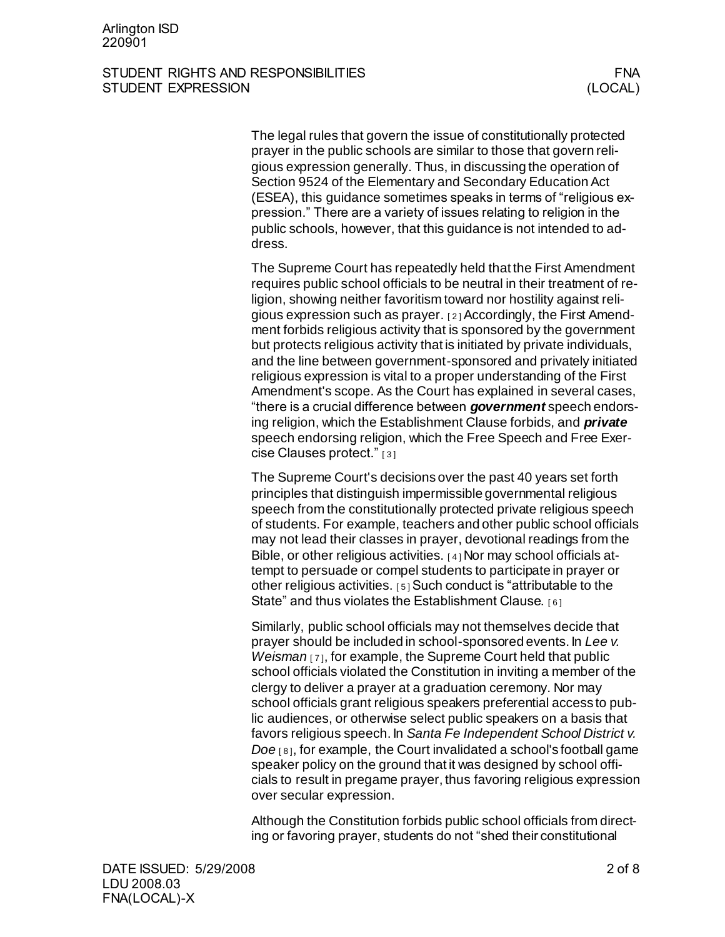The legal rules that govern the issue of constitutionally protected prayer in the public schools are similar to those that govern religious expression generally. Thus, in discussing the operation of Section 9524 of the Elementary and Secondary Education Act (ESEA), this guidance sometimes speaks in terms of "religious expression." There are a variety of issues relating to religion in the public schools, however, that this guidance is not intended to address.

The Supreme Court has repeatedly held that the First Amendment requires public school officials to be neutral in their treatment of religion, showing neither favoritism toward nor hostility against religious expression such as prayer. [ 2 ] Accordingly, the First Amendment forbids religious activity that is sponsored by the government but protects religious activity that is initiated by private individuals, and the line between government-sponsored and privately initiated religious expression is vital to a proper understanding of the First Amendment's scope. As the Court has explained in several cases, "there is a crucial difference between *government* speech endorsing religion, which the Establishment Clause forbids, and *private*  speech endorsing religion, which the Free Speech and Free Exercise Clauses protect." [ 3 ]

The Supreme Court's decisions over the past 40 years set forth principles that distinguish impermissible governmental religious speech from the constitutionally protected private religious speech of students. For example, teachers and other public school officials may not lead their classes in prayer, devotional readings from the Bible, or other religious activities. [4] Nor may school officials attempt to persuade or compel students to participate in prayer or other religious activities. [ 5 ] Such conduct is "attributable to the State" and thus violates the Establishment Clause. [6]

Similarly, public school officials may not themselves decide that prayer should be included in school-sponsored events. In *Lee v. Weisman* [7], for example, the Supreme Court held that public school officials violated the Constitution in inviting a member of the clergy to deliver a prayer at a graduation ceremony. Nor may school officials grant religious speakers preferential access to public audiences, or otherwise select public speakers on a basis that favors religious speech. In *Santa Fe Independent School District v. Doe* [ 8 ], for example, the Court invalidated a school's football game speaker policy on the ground that it was designed by school officials to result in pregame prayer, thus favoring religious expression over secular expression.

Although the Constitution forbids public school officials from directing or favoring prayer, students do not "shed their constitutional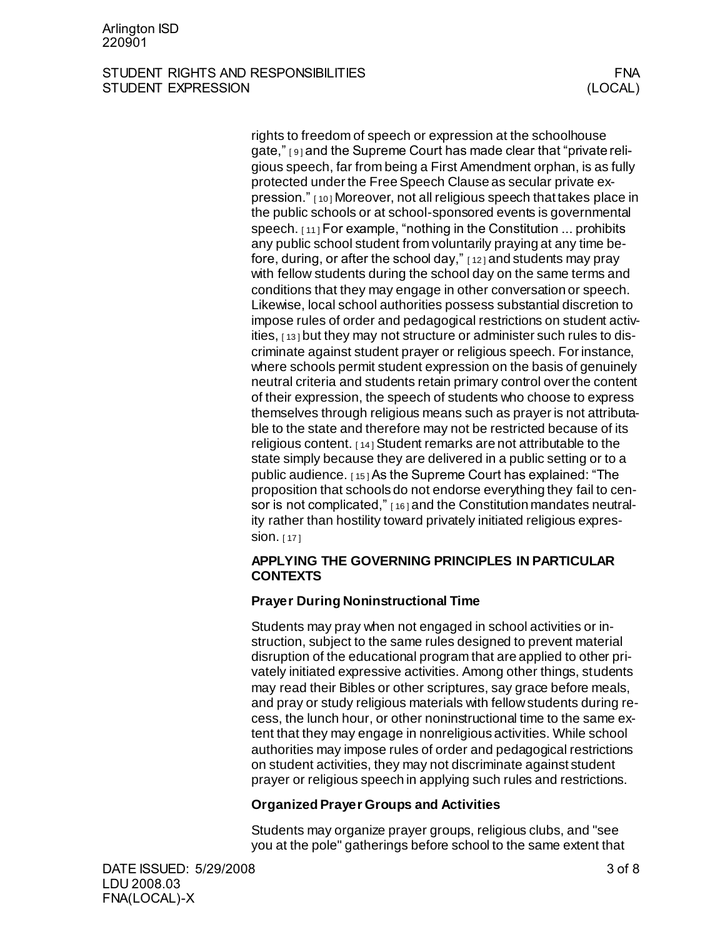rights to freedom of speech or expression at the schoolhouse gate," [ 9 ] and the Supreme Court has made clear that "private religious speech, far from being a First Amendment orphan, is as fully protected under the Free Speech Clause as secular private expression." [ 10 ] Moreover, not all religious speech that takes place in the public schools or at school-sponsored events is governmental speech. [ 11 ] For example, "nothing in the Constitution ... prohibits any public school student from voluntarily praying at any time before, during, or after the school day," [ 12 ] and students may pray with fellow students during the school day on the same terms and conditions that they may engage in other conversation or speech. Likewise, local school authorities possess substantial discretion to impose rules of order and pedagogical restrictions on student activities,  $[13]$  but they may not structure or administer such rules to discriminate against student prayer or religious speech. For instance, where schools permit student expression on the basis of genuinely neutral criteria and students retain primary control over the content of their expression, the speech of students who choose to express themselves through religious means such as prayer is not attributable to the state and therefore may not be restricted because of its religious content. [ 14 ] Student remarks are not attributable to the state simply because they are delivered in a public setting or to a public audience. [ 15 ] As the Supreme Court has explained: "The proposition that schools do not endorse everything they fail to censor is not complicated,"  $161$  and the Constitution mandates neutrality rather than hostility toward privately initiated religious expres- $S$ ion.  $[17]$ 

# **APPLYING THE GOVERNING PRINCIPLES IN PARTICULAR CONTEXTS**

## **Prayer During Noninstructional Time**

Students may pray when not engaged in school activities or instruction, subject to the same rules designed to prevent material disruption of the educational program that are applied to other privately initiated expressive activities. Among other things, students may read their Bibles or other scriptures, say grace before meals, and pray or study religious materials with fellow students during recess, the lunch hour, or other noninstructional time to the same extent that they may engage in nonreligious activities. While school authorities may impose rules of order and pedagogical restrictions on student activities, they may not discriminate against student prayer or religious speech in applying such rules and restrictions.

# **Organized Prayer Groups and Activities**

Students may organize prayer groups, religious clubs, and "see you at the pole" gatherings before school to the same extent that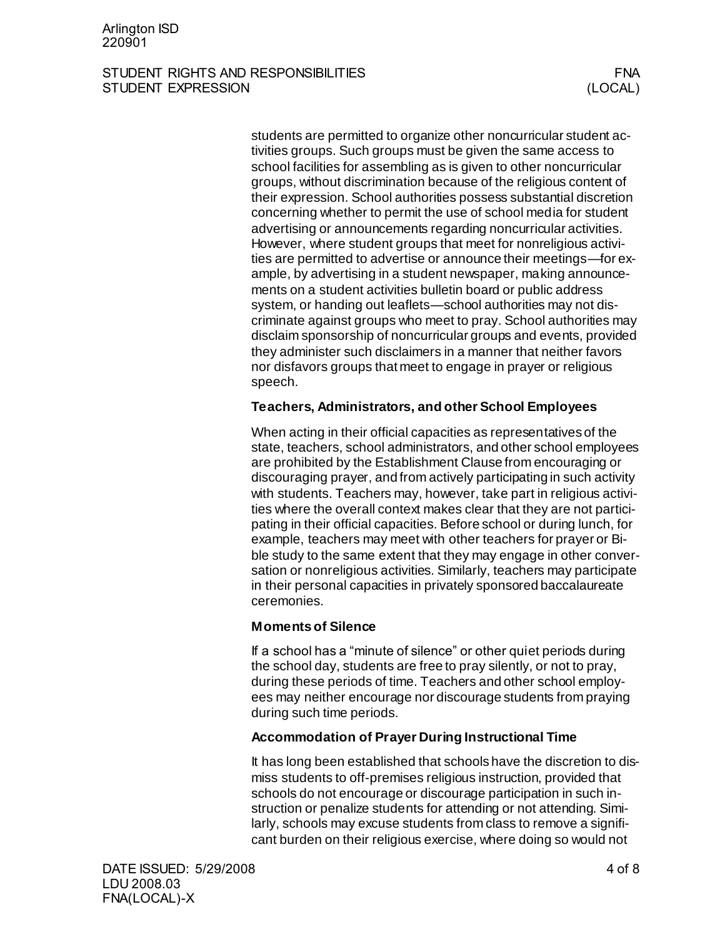students are permitted to organize other noncurricular student activities groups. Such groups must be given the same access to school facilities for assembling as is given to other noncurricular groups, without discrimination because of the religious content of their expression. School authorities possess substantial discretion concerning whether to permit the use of school media for student advertising or announcements regarding noncurricular activities. However, where student groups that meet for nonreligious activities are permitted to advertise or announce their meetings—for example, by advertising in a student newspaper, making announcements on a student activities bulletin board or public address system, or handing out leaflets—school authorities may not discriminate against groups who meet to pray. School authorities may disclaim sponsorship of noncurricular groups and events, provided they administer such disclaimers in a manner that neither favors nor disfavors groups that meet to engage in prayer or religious speech.

# **Teachers, Administrators, and other School Employees**

When acting in their official capacities as representatives of the state, teachers, school administrators, and other school employees are prohibited by the Establishment Clause from encouraging or discouraging prayer, and from actively participating in such activity with students. Teachers may, however, take part in religious activities where the overall context makes clear that they are not participating in their official capacities. Before school or during lunch, for example, teachers may meet with other teachers for prayer or Bible study to the same extent that they may engage in other conversation or nonreligious activities. Similarly, teachers may participate in their personal capacities in privately sponsored baccalaureate ceremonies.

## **Moments of Silence**

If a school has a "minute of silence" or other quiet periods during the school day, students are free to pray silently, or not to pray, during these periods of time. Teachers and other school employees may neither encourage nor discourage students from praying during such time periods.

# **Accommodation of Prayer During Instructional Time**

It has long been established that schools have the discretion to dismiss students to off-premises religious instruction, provided that schools do not encourage or discourage participation in such instruction or penalize students for attending or not attending. Similarly, schools may excuse students from class to remove a significant burden on their religious exercise, where doing so would not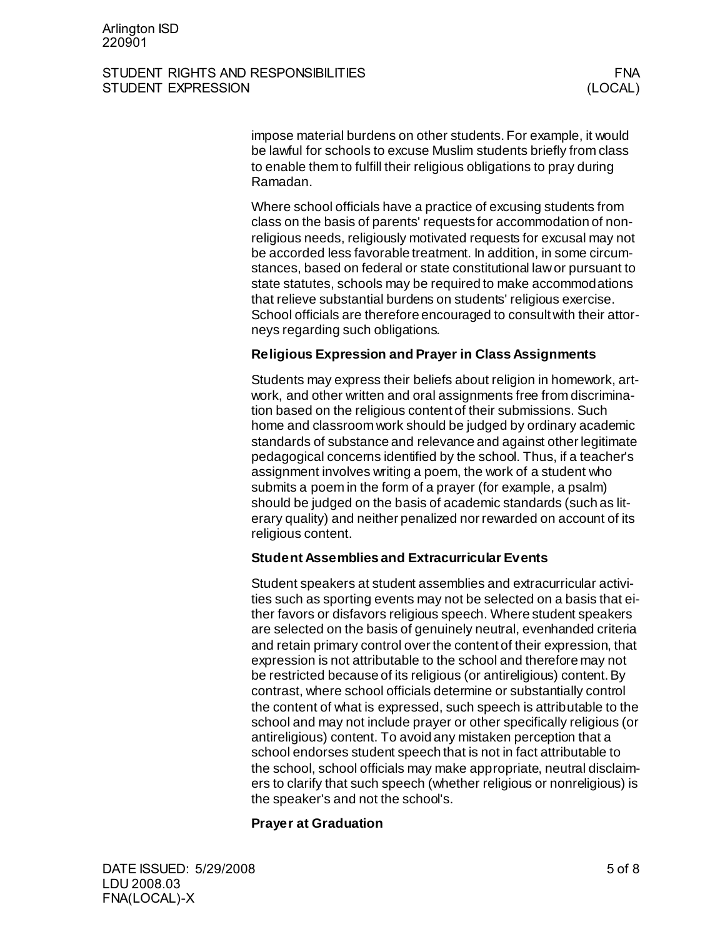impose material burdens on other students. For example, it would be lawful for schools to excuse Muslim students briefly from class to enable them to fulfill their religious obligations to pray during Ramadan.

Where school officials have a practice of excusing students from class on the basis of parents' requests for accommodation of nonreligious needs, religiously motivated requests for excusal may not be accorded less favorable treatment. In addition, in some circumstances, based on federal or state constitutional law or pursuant to state statutes, schools may be required to make accommodations that relieve substantial burdens on students' religious exercise. School officials are therefore encouraged to consult with their attorneys regarding such obligations.

## **Religious Expression and Prayer in Class Assignments**

Students may express their beliefs about religion in homework, artwork, and other written and oral assignments free from discrimination based on the religious content of their submissions. Such home and classroom work should be judged by ordinary academic standards of substance and relevance and against other legitimate pedagogical concerns identified by the school. Thus, if a teacher's assignment involves writing a poem, the work of a student who submits a poem in the form of a prayer (for example, a psalm) should be judged on the basis of academic standards (such as literary quality) and neither penalized nor rewarded on account of its religious content.

## **Student Assemblies and Extracurricular Events**

Student speakers at student assemblies and extracurricular activities such as sporting events may not be selected on a basis that either favors or disfavors religious speech. Where student speakers are selected on the basis of genuinely neutral, evenhanded criteria and retain primary control over the content of their expression, that expression is not attributable to the school and therefore may not be restricted because of its religious (or antireligious) content. By contrast, where school officials determine or substantially control the content of what is expressed, such speech is attributable to the school and may not include prayer or other specifically religious (or antireligious) content. To avoid any mistaken perception that a school endorses student speech that is not in fact attributable to the school, school officials may make appropriate, neutral disclaimers to clarify that such speech (whether religious or nonreligious) is the speaker's and not the school's.

# **Prayer at Graduation**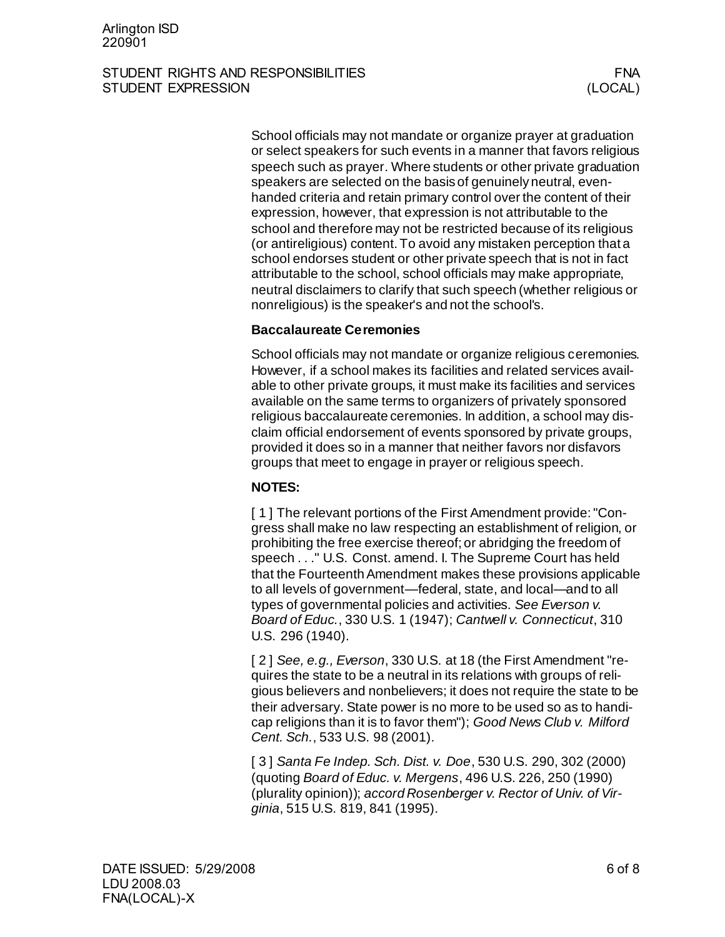School officials may not mandate or organize prayer at graduation or select speakers for such events in a manner that favors religious speech such as prayer. Where students or other private graduation speakers are selected on the basis of genuinely neutral, evenhanded criteria and retain primary control over the content of their expression, however, that expression is not attributable to the school and therefore may not be restricted because of its religious (or antireligious) content. To avoid any mistaken perception that a school endorses student or other private speech that is not in fact attributable to the school, school officials may make appropriate, neutral disclaimers to clarify that such speech (whether religious or nonreligious) is the speaker's and not the school's.

# **Baccalaureate Ceremonies**

School officials may not mandate or organize religious ceremonies. However, if a school makes its facilities and related services available to other private groups, it must make its facilities and services available on the same terms to organizers of privately sponsored religious baccalaureate ceremonies. In addition, a school may disclaim official endorsement of events sponsored by private groups, provided it does so in a manner that neither favors nor disfavors groups that meet to engage in prayer or religious speech.

# **NOTES:**

[ 1 ] The relevant portions of the First Amendment provide: "Congress shall make no law respecting an establishment of religion, or prohibiting the free exercise thereof; or abridging the freedom of speech . . ." U.S. Const. amend. I. The Supreme Court has held that the Fourteenth Amendment makes these provisions applicable to all levels of government—federal, state, and local—and to all types of governmental policies and activities. *See Everson v. Board of Educ.*, 330 U.S. 1 (1947); *Cantwell v. Connecticut*, 310 U.S. 296 (1940).

[ 2 ] *See, e.g., Everson*, 330 U.S. at 18 (the First Amendment "requires the state to be a neutral in its relations with groups of religious believers and nonbelievers; it does not require the state to be their adversary. State power is no more to be used so as to handicap religions than it is to favor them"); *Good News Club v. Milford Cent. Sch.*, 533 U.S. 98 (2001).

[ 3 ] *Santa Fe Indep. Sch. Dist. v. Doe*, 530 U.S. 290, 302 (2000) (quoting *Board of Educ. v. Mergens*, 496 U.S. 226, 250 (1990) (plurality opinion)); *accord Rosenberger v. Rector of Univ. of Virginia*, 515 U.S. 819, 841 (1995).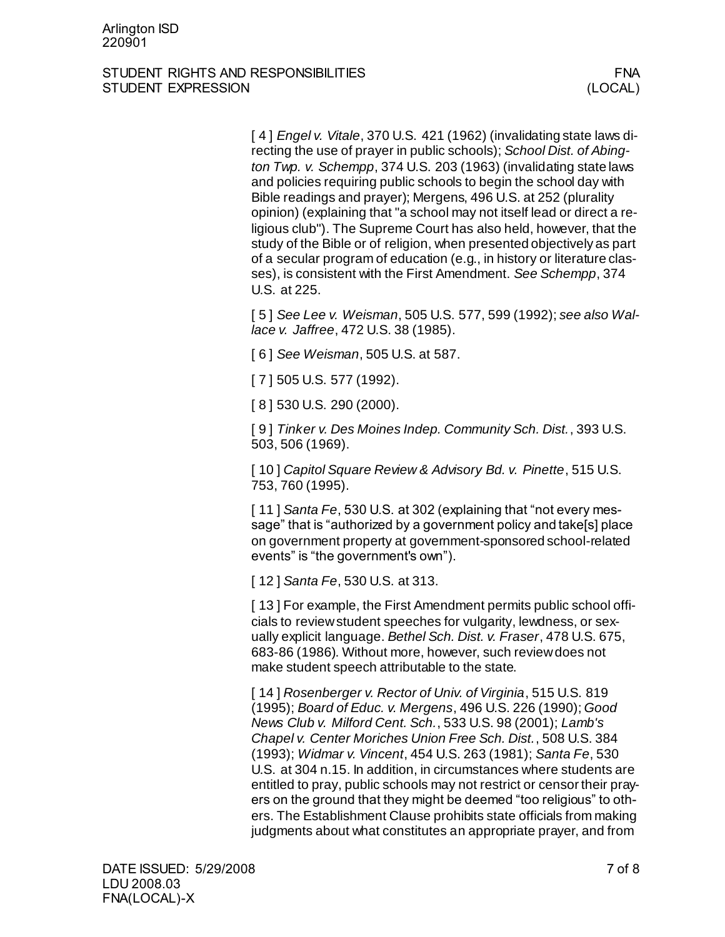[ 4 ] *Engel v. Vitale*, 370 U.S. 421 (1962) (invalidating state laws directing the use of prayer in public schools); *School Dist. of Abington Twp. v. Schempp*, 374 U.S. 203 (1963) (invalidating state laws and policies requiring public schools to begin the school day with Bible readings and prayer); Mergens, 496 U.S. at 252 (plurality opinion) (explaining that "a school may not itself lead or direct a religious club"). The Supreme Court has also held, however, that the study of the Bible or of religion, when presented objectively as part of a secular program of education (e.g., in history or literature classes), is consistent with the First Amendment. *See Schempp*, 374 U.S. at 225.

[ 5 ] *See Lee v. Weisman*, 505 U.S. 577, 599 (1992); *see also Wallace v. Jaffree*, 472 U.S. 38 (1985).

[ 6 ] *See Weisman*, 505 U.S. at 587.

[ 7 ] 505 U.S. 577 (1992).

[ 8 ] 530 U.S. 290 (2000).

[ 9 ] *Tinker v. Des Moines Indep. Community Sch. Dist.*, 393 U.S. 503, 506 (1969).

[ 10 ] *Capitol Square Review & Advisory Bd. v. Pinette*, 515 U.S. 753, 760 (1995).

[11] *Santa Fe*, 530 U.S. at 302 (explaining that "not every message" that is "authorized by a government policy and take[s] place on government property at government-sponsored school-related events" is "the government's own").

[ 12 ] *Santa Fe*, 530 U.S. at 313.

[ 13 ] For example, the First Amendment permits public school officials to review student speeches for vulgarity, lewdness, or sexually explicit language. *Bethel Sch. Dist. v. Fraser*, 478 U.S. 675, 683-86 (1986). Without more, however, such review does not make student speech attributable to the state.

[ 14 ] *Rosenberger v. Rector of Univ. of Virginia*, 515 U.S. 819 (1995); *Board of Educ. v. Mergens*, 496 U.S. 226 (1990); *Good News Club v. Milford Cent. Sch.*, 533 U.S. 98 (2001); *Lamb's Chapel v. Center Moriches Union Free Sch. Dist.*, 508 U.S. 384 (1993); *Widmar v. Vincent*, 454 U.S. 263 (1981); *Santa Fe*, 530 U.S. at 304 n.15. In addition, in circumstances where students are entitled to pray, public schools may not restrict or censor their prayers on the ground that they might be deemed "too religious" to others. The Establishment Clause prohibits state officials from making judgments about what constitutes an appropriate prayer, and from